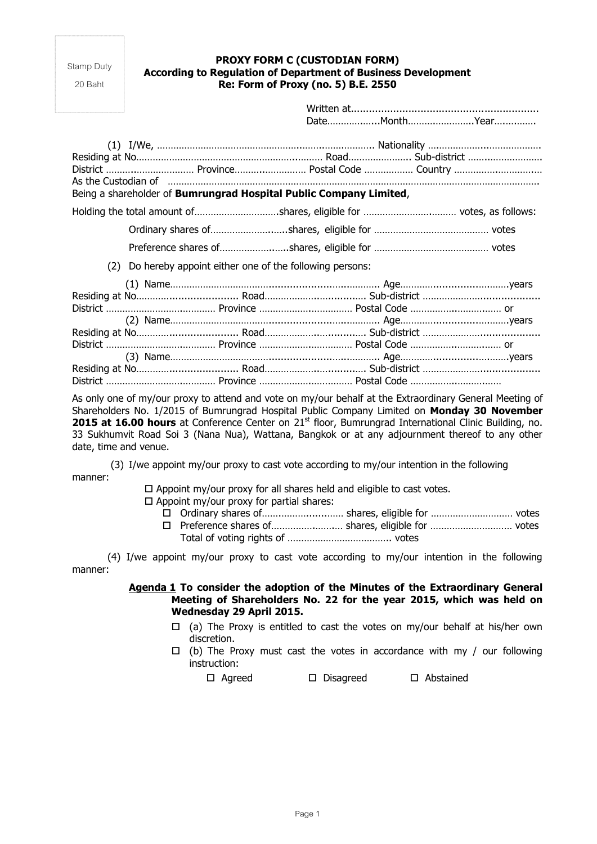Stamp Duty

20 Baht

## **PROXY FORM C (CUSTODIAN FORM) According to Regulation of Department of Business Development Re: Form of Proxy (no. 5) B.E. 2550**

Written at.............................................................. Date………….…...Month……….…………..Year….….…….

|                                                                    |  | District  Province Postal Code  Country<br>As the Custodian of www.automain.com/www.automain.com/www.automain.com/www.automain.com/www.automain.com |  |  |  |  |
|--------------------------------------------------------------------|--|-----------------------------------------------------------------------------------------------------------------------------------------------------|--|--|--|--|
| Being a shareholder of Bumrungrad Hospital Public Company Limited, |  |                                                                                                                                                     |  |  |  |  |
|                                                                    |  |                                                                                                                                                     |  |  |  |  |
|                                                                    |  |                                                                                                                                                     |  |  |  |  |
|                                                                    |  |                                                                                                                                                     |  |  |  |  |
| Do hereby appoint either one of the following persons:<br>(2)      |  |                                                                                                                                                     |  |  |  |  |
|                                                                    |  |                                                                                                                                                     |  |  |  |  |
|                                                                    |  |                                                                                                                                                     |  |  |  |  |
|                                                                    |  |                                                                                                                                                     |  |  |  |  |
|                                                                    |  |                                                                                                                                                     |  |  |  |  |
|                                                                    |  |                                                                                                                                                     |  |  |  |  |
|                                                                    |  |                                                                                                                                                     |  |  |  |  |
|                                                                    |  |                                                                                                                                                     |  |  |  |  |
|                                                                    |  |                                                                                                                                                     |  |  |  |  |
|                                                                    |  |                                                                                                                                                     |  |  |  |  |

As only one of my/our proxy to attend and vote on my/our behalf at the Extraordinary General Meeting of Shareholders No. 1/2015 of Bumrungrad Hospital Public Company Limited on **Monday 30 November 2015 at 16.00 hours** at Conference Center on 21<sup>st</sup> floor, Bumrungrad International Clinic Building, no. 33 Sukhumvit Road Soi 3 (Nana Nua), Wattana, Bangkok or at any adjournment thereof to any other date, time and venue.

(3) I/we appoint my/our proxy to cast vote according to my/our intention in the following manner:

 $\Box$  Appoint my/our proxy for all shares held and eligible to cast votes.

- $\Box$  Appoint my/our proxy for partial shares:
	- Ordinary shares of…….……….......…… shares, eligible for ………………………… votes Preference shares of…………….…….… shares, eligible for ………………………… votes Total of voting rights of ……………………………….. votes

(4) I/we appoint my/our proxy to cast vote according to my/our intention in the following manner:

# **Agenda 1 To consider the adoption of the Minutes of the Extraordinary General Meeting of Shareholders No. 22 for the year 2015, which was held on Wednesday 29 April 2015.**

- $\Box$  (a) The Proxy is entitled to cast the votes on my/our behalf at his/her own discretion.
- $\Box$  (b) The Proxy must cast the votes in accordance with my / our following instruction:

Agreed Disagreed Abstained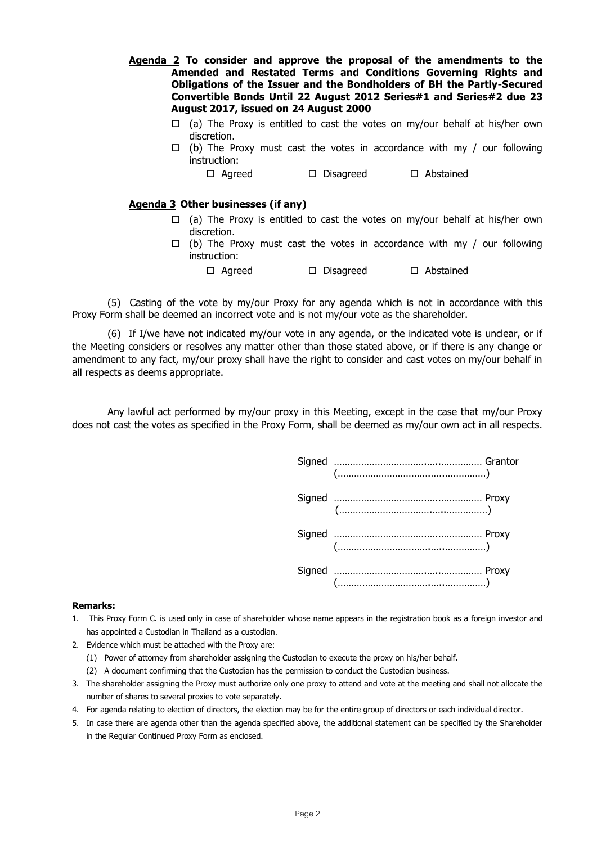- **Agenda 2 To consider and approve the proposal of the amendments to the Amended and Restated Terms and Conditions Governing Rights and Obligations of the Issuer and the Bondholders of BH the Partly-Secured Convertible Bonds Until 22 August 2012 Series#1 and Series#2 due 23 August 2017, issued on 24 August 2000**
	- $\Box$  (a) The Proxy is entitled to cast the votes on my/our behalf at his/her own discretion.
	- $\Box$  (b) The Proxy must cast the votes in accordance with my / our following instruction:

Agreed Disagreed Abstained

## **Agenda 3 Other businesses (if any)**

- $\Box$  (a) The Proxy is entitled to cast the votes on my/our behalf at his/her own discretion.
- $\Box$  (b) The Proxy must cast the votes in accordance with my / our following instruction: Agreed Disagreed Abstained

(5) Casting of the vote by my/our Proxy for any agenda which is not in accordance with this Proxy Form shall be deemed an incorrect vote and is not my/our vote as the shareholder.

(6) If I/we have not indicated my/our vote in any agenda, or the indicated vote is unclear, or if the Meeting considers or resolves any matter other than those stated above, or if there is any change or amendment to any fact, my/our proxy shall have the right to consider and cast votes on my/our behalf in all respects as deems appropriate.

Any lawful act performed by my/our proxy in this Meeting, except in the case that my/our Proxy does not cast the votes as specified in the Proxy Form, shall be deemed as my/our own act in all respects.



#### **Remarks:**

- 1. This Proxy Form C. is used only in case of shareholder whose name appears in the registration book as a foreign investor and has appointed a Custodian in Thailand as a custodian.
- 2. Evidence which must be attached with the Proxy are:
	- (1) Power of attorney from shareholder assigning the Custodian to execute the proxy on his/her behalf.
	- (2) A document confirming that the Custodian has the permission to conduct the Custodian business.
- 3. The shareholder assigning the Proxy must authorize only one proxy to attend and vote at the meeting and shall not allocate the number of shares to several proxies to vote separately.
- 4. For agenda relating to election of directors, the election may be for the entire group of directors or each individual director.
- 5. In case there are agenda other than the agenda specified above, the additional statement can be specified by the Shareholder in the Regular Continued Proxy Form as enclosed.